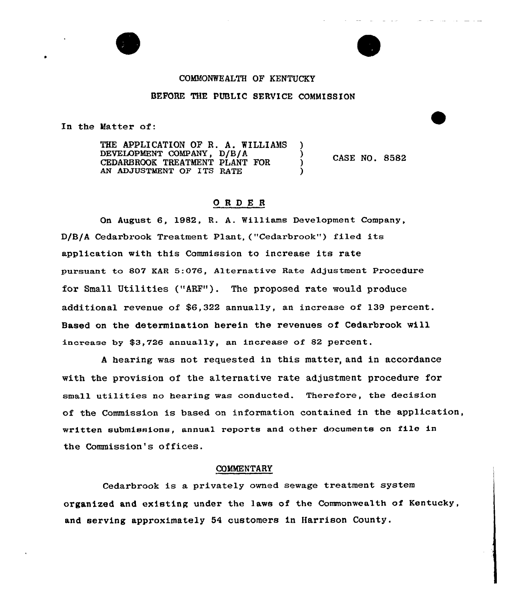# COMMONWEALTH OF KENTUCKY BEFORE THE PUBLIC SERVICE COMMISSION

In the Matter of:

THE APPLICATION OF R. A. WILLIAMS DEVELOPMENT COMPANY, D/B/A ) CEDARBROOK TREATMENT PLANT FOR AN ADJUSTMENT OF ITS RATE

CASE NO. 8582

# 0 <sup>R</sup> <sup>D</sup> E <sup>R</sup>

On August 6, 1982, R. A. Williams Development Company, D/B/A Cedarbrook Treatment Plant,("Cedarbrook") filed its application with this Commission to increase its rate pursuant to 807 EAR 5:076, Alternative Rate Adjustment Procedure for Small Utilities ("ARF"). The proposed rate would produce additional revenue of \$6,322 annually, an increase of 139 percent. Based on the determination herein the revenues of Cedarbrook will increase by \$3,726 annually, an increase of 82 percent.

<sup>A</sup> hearing was not requested in this matter, and in accordance with the provision of the alternative rate adjustment procedure for small utilities no bearing was conducted. Therefore, the decision of the Commission is based on information contained in the application, written submissions, annual reports and other documents on file in the Commission's offices.

#### COMMENTARY

Cedarbrook is a privately owned sewage treatment system organized and existing under the laws of the Commonwealth of Kentucky, and serving approximately 54 customers in Harrison County.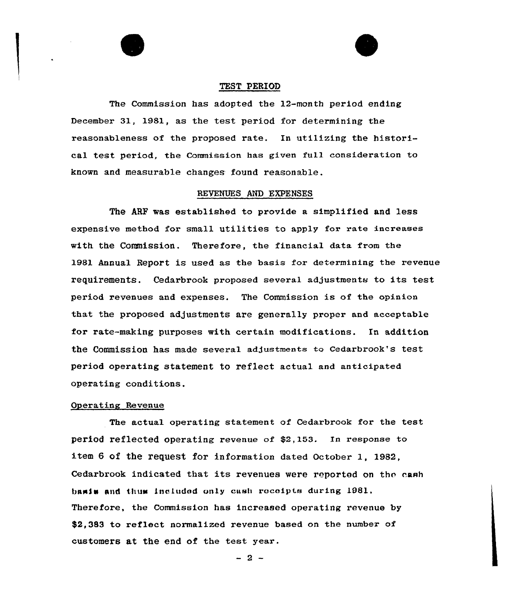



# TEST PERIOD

The Commission has adopted the 12-month period ending December 31, 1981, as the test period for determining the reasonableness of the proposed rate. In utilizing the historical test period, the Commission has given full consideration to known and measurable changes found reasonable.

#### REVENUES AND EXPENSES

The ARF was established to provide a simplified and less expensive method for small utilities to apply for rate increases with the Commission. Therefore, the financial data from the 1981 Annual Report is used as the basis fox determining the revenue requirements. Cedarbrook proposed several adjustments to its test period revenues and expenses. The Commission is of the opinion that the proposed adjustments are generally proper and acceptable for rate-making purposes with certain modifications. In addition the Commission has made several adjuatmenta to Cedarbrook's test period operating statement to reflect actual and anticipated operating conditions.

## Operating Revenue

The actual operating statement of Cedarbrook for the test period reflected operating revenue of \$2,153. In response to item 6 of the request for information dated October 1, 1982, Cedarbrook indicated that its revenues were reported on the cash basis and thus Lneludod vniy cash roceipte during 1981, Therefore, the Commission has increased operating revenue by \$2.383 to reflect normalized revenue based on the number of customers at the end of the test year.

 $-2-$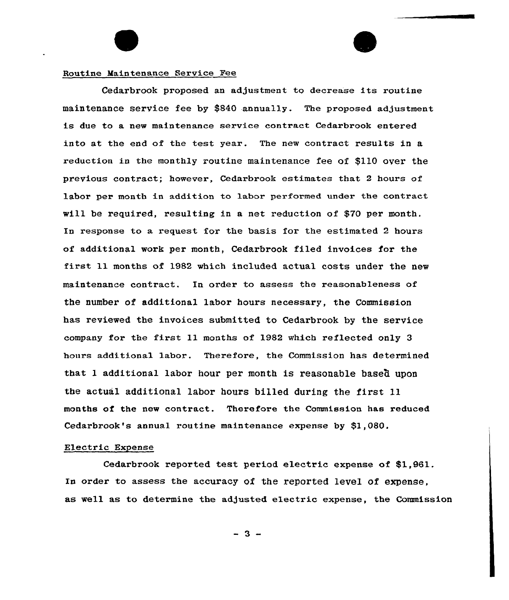## Routine Maintenance Service Pee

Cedarbrook proposed an adjustment to decrease its routine maintenance service fee by \$840 annually. The proposed adjustment is due to a new maintenance service contract Cedarbrook entered into at the end of the test year. The new contract results in a reduction in the monthly routine maintenance fee of \$110 over the previous contract; however, Cedarbrook estimates that 2 hours of labor per month in addition to labor performed under the contract will be required, resulting in a net reduction of \$70 per month. In response to a request for the basis for the estimated 2 hours of additional work per month, Cedarbrook filed invoices for the first 11 months of 1982 which included actual costs under the new maintenance contract. In order to assess the reasonableness of the number of additional labor hours necessary, the Commission has reviewed the invoices submitted to Cedarbrook by the service company for the first ll months of 1982 which reflected only <sup>3</sup> hours additional labor. Therefore, the Commission has determined that 1 additional labor hour per month is reasonable based upon the actual additional labor hours billed during the first ll months of the new contract. Therefore the Commission has reduced Cedarbrook's annual routine maintenance expense by \$1,080.

#### Electric Expense

Cedarbrook reported test period electric expense of \$1,961. In order to assess the accuracy of the reported level of expense, as well as to determine the adjusted electric expense, the Commission

 $3 -$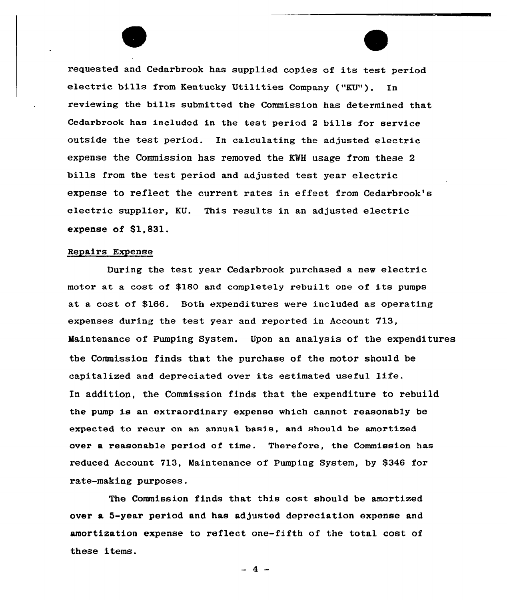requested and Cedarbrook has supplied copies of its test period electric bills from Kentucky Utilities Company ("KU"). In reviewing the bills submitted the Commission has determined that Cedarbrook has included in the test period <sup>2</sup> bills for service outside the test period. In calculating the adjusted electric expense the Commission has removed the KWH usage from these 2 bills from the test period and adjusted test year electric expense to reflect the current rates in effect from Cedarbrook's electric supplier, KU. This results in an adjusted electric expense of \$1,831.

#### Repairs Expense

During the test year Cedarbrook purchased a new electric motor at a cost of \$1SO and completely rebuilt one of its pumps at a cost of \$166. Both expenditures were included as operating expenses during the test year and reported in Account 713, Maintenance of Pumping System. Upon an analysis of the expenditures the Commission finds that the purchase of the motor should be capitalized and depreciated over its estimated useful life. In addition, the Commission finds that the expenditure to rebuild the pump is an extraordinary expense which cannot reasonably be expected to recur on an annual basis, and should be amortized over a reasonable period of time. Therefore, the Commission has reduced Account 713, Maintenance of Pumping System, by \$346 for rate-making purposes.

The Commission finds that this cost should be amortized over a 5-year period and has adjusted depreciation expense and amortization expense to reflect one-fifth of the total cost of these items.

 $-4$   $-$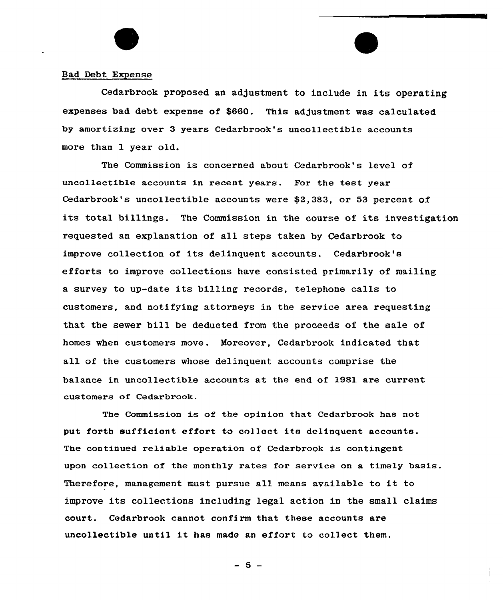## Bad Debt Expense

Cedarbrook proposed an adjustment to include in its operating expenses bad debt expense of \$660. This adjustment was calculated by amortizing over 3 years Cedarbrook's uncollectible accounts more than 1 year old.

The Commission is concerned about Cedarbrook's level of uncollectible accounts in recent years. For the test year Cedarbrook's uncollectible accounts were \$2,383, or 53 percent of its total billings. The Commission in the course of its investigation requested an explanation of all steps taken by Cedarbrook to improve collection of its delinquent accounts. Cedarbrook's efforts to improve collections have consisted primarily of mailing a survey to up-date its billing records, telephone calls to customers, and notifying attorneys in the service area requesting that the sewer bill be deducted from the proceeds of the sale of homes when customers move. Moreover, Cedarbrook indicated that all of the customers whose delinquent accounts comprise the balance in uncollectible accounts at the end of 1981 are current customers of Cedarbrook.

The Commission is of the opinion that Cedarbrook has not put forth sufficient effort to co1]ect its delinquent accounts. The continued re1iable operation of Cedarbrook is contingent upon collection of the monthly rates for service on a timely basis. Therefore, management must pursue all means available to it to improve its collections including legal action in the small claims court. Cedarbrook cannot confirm that these accounts are uncollectible until it has made an effort to collect them,

 $-5 -$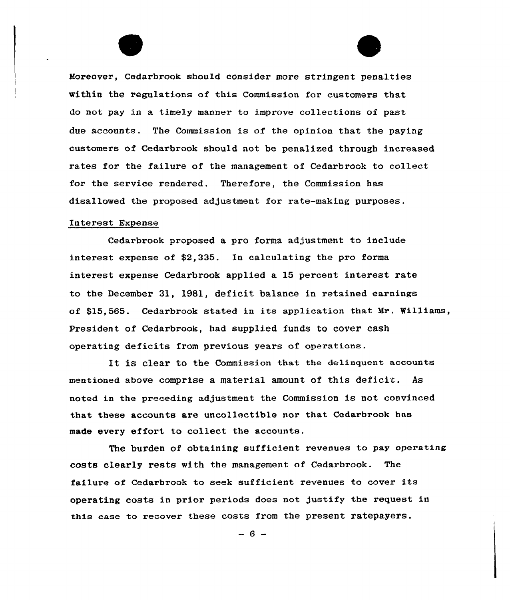Moreover, Cedarbrook should consider more stringent penalties within the regulations of this Commission for customers that do not pay in a timely manner to improve collections of past due accounts. The Commission is of the opinion that the paying customers of Cedarbrook should not be penalized through increased rates for the failure of the management of Cedarbrook to collect for the service rendered. Therefore, the Commission has disallowed the proposed adjustment for rate-making purposes.

#### Interest Expense

Cedarbxook proposed a pro forma adjustment to include interest expense of \$2,335. In calculating the pro forma interest expense Cedarbrook applied a 15 percent interest rate to the December 31, 1981, deficit balance in retained earnings of \$15,565. Cedarbrook stated in its application that Mr. Williams, President of Cedarbrook, had supplied funds to cover cash operating deficits from previous years of operations.

It is clear to the Commission that the delinquent accounts mentioned above comprise a material amount of this deficit. As noted in the preceding adjustment the Commission is not convinced that these accounts are uncollectible nor that Cedarbrook has made every effort to collect the accounts.

The burden of obtaining sufficient revenues to pay operating costs clearly rests with the management of Cedarbrook. The failure of Cedarbrook to seek sufficient revenues to cover its opexating costs in pxiox periods does not justify \*he request in this case to recover these costs from the present ratepayers.

 $-6-$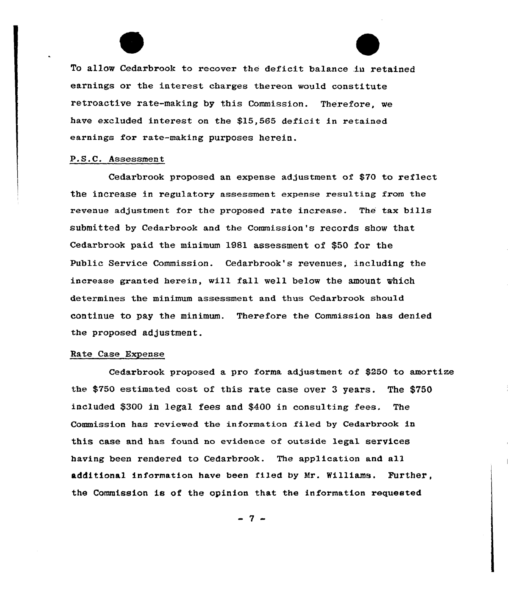To allow Cedarbrook to recover the deficit balance in retained earnings or the interest charges thereon would constitute retroactive rate-making by this Commission. Therefore, we have excluded interest on the \$15,565 deficit in retained earnings for rate-making purposes herein.

#### P.S.C. Assessment

Cedarbrook proposed an expense adjustment of \$70 to reflect the increase in regulatory assessment expense resu1ting from the revenue adjustment for the proposed rate increase. The tax bills submitted by Cedarbrook and the Commission's records show that Cedarbrook paid the minimum 1981 assessment of \$50 for the Public Service Commission. Cedarbrook's revenues, including the increase granted herein, will fall well below the amount which determines the minimum assessment and thus Cedarbrook should continue to pay the minimum. Therefore the Commission has denied the proposed adjustment.

#### Rate Case Expense

Cedarbrook proposed a pro forma adjustment of \$250 to amortize the \$750 estimated cost of this rate case over 3 years. The \$750 included \$300 in 1ega1 fees and \$400 in consulting fees. The Commission has reviewed the information filed by Cedarbrook in this case and has found no evidence of outside legal services having been rendered to Cedarbrook. The application and all additional information have been filed by Mr. Williams. Further the Commission is of the opinion that the information requested

- 7 -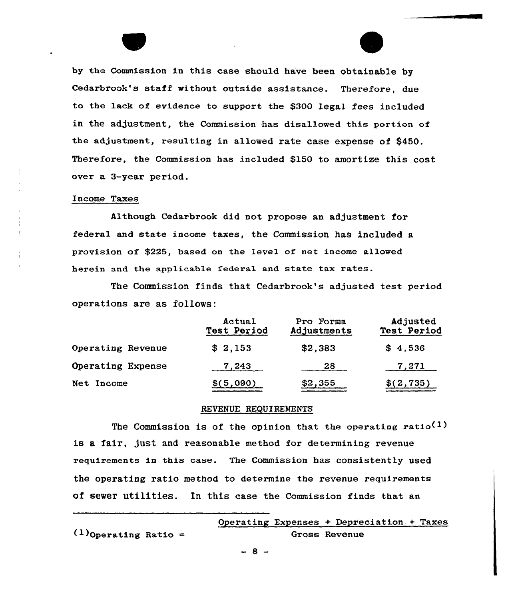by the Commission in this case should have been obtainable by Cedarbrook's staff without outside assistance. Therefore, due to the lack of evidence to support the \$300 legal fees included in the adjustment, the Commission has disallowed this portion of the adjustment, resulting in allowed rate case expense of \$450. Therefore, the Commission has included \$150 to amortize this cost over a 3-year period.

#### Income Taxes

Although Cedarbrook did not propose an adjustment for federal and state income taxes, the Commission has included a provision of \$225, based on the level of net income allowed herein and the applicable federal and state tax rates.

The Commission finds that Cedarbrook's adjusted test period operations are as follows:

|                   | Actual<br><b>Test Period</b> | Pro Forma<br>Adjustments | Adjusted<br>Test Period |
|-------------------|------------------------------|--------------------------|-------------------------|
| Operating Revenue | \$2,153                      | \$2,383                  | \$4,536                 |
| Operating Expense | 7,243                        | 28                       | 7,271                   |
| Net Income        | \$(5,090)                    | \$2,355                  | \$(2, 735)              |

# REVENUE REQUIREMENTS

The Commission is of the opinion that the operating ratio<sup>(1)</sup> is a fair, just and reasonable method for determining revenue requirements in this case. The Commission has consistently used the operating ratio method to determine the revenue requirements of sewer utilities. In this case the Commission finds that an

|                         | Operating Expenses + Depreciation + Taxes |
|-------------------------|-------------------------------------------|
| $(1)$ Operating Ratio = | Gross Revenue                             |

 $-8 -$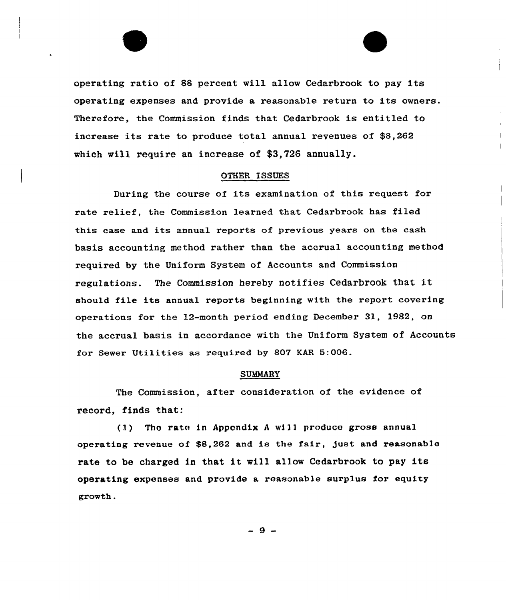operating ratio of 88 percent will allow Cedarbrook to pay its operating expenses and provide a reasonable return to its owners. Therefore, the Commission finds that Cedarbrook is entitled to increase its rate to produce total annual revenues of \$8,262 which will require an increase of \$3,726 annually.

#### OTHER ISSUES

During the course of its examination of this request for rate relief, the Commission learned that Cedarbrook has filed this case and its annual reports of previous years on the cash basis accounting method rather than the accrual accounting method required by the Uniform System of Accounts and Commission regulations. The Commission hereby notifies Cedarbrook that it should file its annual reports beginning with the report covering operations for the 12-month period ending December 31, 1982, on the accrual basis in accordance with the Uniform System of Accounts for Sewer Utilities as required by 807 KAR 5:006.

#### **SUMMARY**

The Commission, after consideration of the evidence of record, finds that:

(1) Tho rate in Appondix <sup>A</sup> will produce gross annual operating revenue of  $$8,262$  and is the fair, just and reasonable rate to be charged in that it will allow Cedarbrook to pay its operating expenses and provide a reasonable surplus for equity growth.

 $-9 -$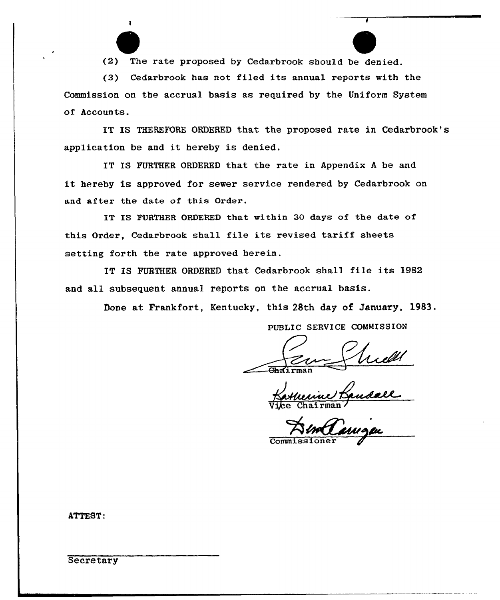(2) The rate proposed by Cedarbrook should be denied.

 $\mathbf{I}$ 

(3) Cedarbrook has not filed its annual reports with the Commission on the accrual basis as required by the Uniform System of Accounts.

IT IS THEREFORE ORDERED that the proposed rate in Cedarbrook's application be and it hereby is denied.

IT IS FURTHER ORDERED that the rate in Appendix <sup>A</sup> be and it hereby is approved for sewer service rendered by Cedarbrook on and after the date of this Order.

IT IS FURTHER ORDERED that within 30 days of the date of this Order, Cedarbrook shall file its revised tariff sheets setting forth the rate approved herein.

IT IS FURTHER ORDERED that Cedarbrook shall file its 1982 and all subsequent annual reports on the accrual basis.

Done at Frankfort, Kentucky, this 28th day of January, 1983.

PUBLIC SERVICE COMMISSION

<u>f Mill</u><br>Bandall

Commissione

ATTEST:

**Secretary**